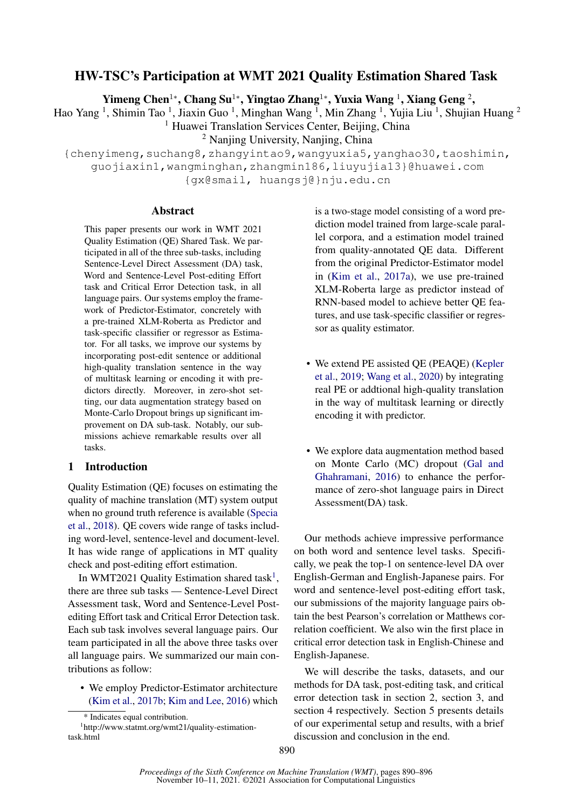# HW-TSC's Participation at WMT 2021 Quality Estimation Shared Task

Yimeng Chen<sup>1</sup>\*, Chang Su<sup>1</sup>\*, Yingtao Zhang<sup>1</sup>\*, Yuxia Wang <sup>1</sup>, Xiang Geng <sup>2</sup>,

Hao Yang <sup>1</sup>, Shimin Tao <sup>1</sup>, Jiaxin Guo <sup>1</sup>, Minghan Wang <sup>1</sup>, Min Zhang <sup>1</sup>, Yujia Liu <sup>1</sup>, Shujian Huang <sup>2</sup>

<sup>1</sup> Huawei Translation Services Center, Beijing, China

<sup>2</sup> Nanjing University, Nanjing, China

{chenyimeng,suchang8,zhangyintao9,wangyuxia5,yanghao30,taoshimin, guojiaxin1,wangminghan,zhangmin186,liuyujia13}@huawei.com

{gx@smail, huangsj@}nju.edu.cn

### Abstract

This paper presents our work in WMT 2021 Quality Estimation (QE) Shared Task. We participated in all of the three sub-tasks, including Sentence-Level Direct Assessment (DA) task, Word and Sentence-Level Post-editing Effort task and Critical Error Detection task, in all language pairs. Our systems employ the framework of Predictor-Estimator, concretely with a pre-trained XLM-Roberta as Predictor and task-specific classifier or regressor as Estimator. For all tasks, we improve our systems by incorporating post-edit sentence or additional high-quality translation sentence in the way of multitask learning or encoding it with predictors directly. Moreover, in zero-shot setting, our data augmentation strategy based on Monte-Carlo Dropout brings up significant improvement on DA sub-task. Notably, our submissions achieve remarkable results over all tasks.

# 1 Introduction

Quality Estimation (QE) focuses on estimating the quality of machine translation (MT) system output when no ground truth reference is available [\(Specia](#page-6-0) [et al.,](#page-6-0) [2018\)](#page-6-0). QE covers wide range of tasks including word-level, sentence-level and document-level. It has wide range of applications in MT quality check and post-editing effort estimation.

In WMT202[1](#page-0-0) Quality Estimation shared task<sup>1</sup>, there are three sub tasks — Sentence-Level Direct Assessment task, Word and Sentence-Level Postediting Effort task and Critical Error Detection task. Each sub task involves several language pairs. Our team participated in all the above three tasks over all language pairs. We summarized our main contributions as follow:

• We employ Predictor-Estimator architecture [\(Kim et al.,](#page-6-1) [2017b;](#page-6-1) [Kim and Lee,](#page-6-2) [2016\)](#page-6-2) which

is a two-stage model consisting of a word prediction model trained from large-scale parallel corpora, and a estimation model trained from quality-annotated QE data. Different from the original Predictor-Estimator model in [\(Kim et al.,](#page-6-3) [2017a\)](#page-6-3), we use pre-trained XLM-Roberta large as predictor instead of RNN-based model to achieve better QE features, and use task-specific classifier or regressor as quality estimator.

- We extend PE assisted QE (PEAQE) [\(Kepler](#page-6-4) [et al.,](#page-6-4) [2019;](#page-6-4) [Wang et al.,](#page-6-5) [2020\)](#page-6-5) by integrating real PE or addtional high-quality translation in the way of multitask learning or directly encoding it with predictor.
- We explore data augmentation method based on Monte Carlo (MC) dropout [\(Gal and](#page-6-6) [Ghahramani,](#page-6-6) [2016\)](#page-6-6) to enhance the performance of zero-shot language pairs in Direct Assessment(DA) task.

Our methods achieve impressive performance on both word and sentence level tasks. Specifically, we peak the top-1 on sentence-level DA over English-German and English-Japanese pairs. For word and sentence-level post-editing effort task, our submissions of the majority language pairs obtain the best Pearson's correlation or Matthews correlation coefficient. We also win the first place in critical error detection task in English-Chinese and English-Japanese.

We will describe the tasks, datasets, and our methods for DA task, post-editing task, and critical error detection task in section 2, section 3, and section 4 respectively. Section 5 presents details of our experimental setup and results, with a brief discussion and conclusion in the end.

<span id="page-0-0"></span><sup>\*</sup> Indicates equal contribution.

<sup>1</sup> http://www.statmt.org/wmt21/quality-estimationtask.html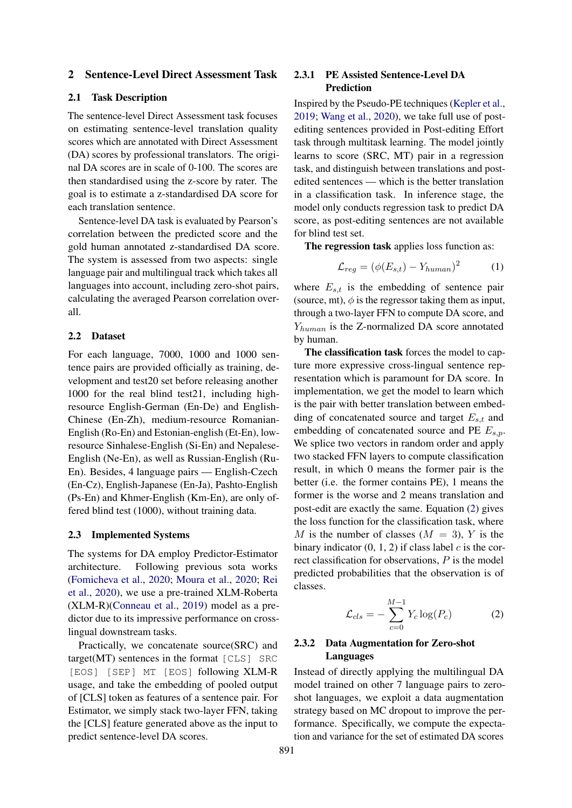### 2 Sentence-Level Direct Assessment Task

## 2.1 Task Description

The sentence-level Direct Assessment task focuses on estimating sentence-level translation quality scores which are annotated with Direct Assessment (DA) scores by professional translators. The original DA scores are in scale of 0-100. The scores are then standardised using the z-score by rater. The goal is to estimate a z-standardised DA score for each translation sentence.

Sentence-level DA task is evaluated by Pearson's correlation between the predicted score and the gold human annotated z-standardised DA score. The system is assessed from two aspects: single language pair and multilingual track which takes all languages into account, including zero-shot pairs, calculating the averaged Pearson correlation overall.

#### 2.2 Dataset

For each language, 7000, 1000 and 1000 sentence pairs are provided officially as training, development and test20 set before releasing another 1000 for the real blind test21, including highresource English-German (En-De) and English-Chinese (En-Zh), medium-resource Romanian-English (Ro-En) and Estonian-english (Et-En), lowresource Sinhalese-English (Si-En) and Nepalese-English (Ne-En), as well as Russian-English (Ru-En). Besides, 4 language pairs — English-Czech (En-Cz), English-Japanese (En-Ja), Pashto-English (Ps-En) and Khmer-English (Km-En), are only offered blind test (1000), without training data.

#### 2.3 Implemented Systems

The systems for DA employ Predictor-Estimator architecture. Following previous sota works [\(Fomicheva et al.,](#page-6-7) [2020;](#page-6-7) [Moura et al.,](#page-6-8) [2020;](#page-6-8) [Rei](#page-6-9) [et al.,](#page-6-9) [2020\)](#page-6-9), we use a pre-trained XLM-Roberta (XLM-R)[\(Conneau et al.,](#page-5-0) [2019\)](#page-5-0) model as a predictor due to its impressive performance on crosslingual downstream tasks.

Practically, we concatenate source(SRC) and target(MT) sentences in the format [CLS] SRC [EOS] [SEP] MT [EOS] following XLM-R usage, and take the embedding of pooled output of [CLS] token as features of a sentence pair. For Estimator, we simply stack two-layer FFN, taking the [CLS] feature generated above as the input to predict sentence-level DA scores.

# 2.3.1 PE Assisted Sentence-Level DA Prediction

Inspired by the Pseudo-PE techniques [\(Kepler et al.,](#page-6-4) [2019;](#page-6-4) [Wang et al.,](#page-6-5) [2020\)](#page-6-5), we take full use of postediting sentences provided in Post-editing Effort task through multitask learning. The model jointly learns to score (SRC, MT) pair in a regression task, and distinguish between translations and postedited sentences — which is the better translation in a classification task. In inference stage, the model only conducts regression task to predict DA score, as post-editing sentences are not available for blind test set.

The regression task applies loss function as:

$$
\mathcal{L}_{reg} = (\phi(E_{s,t}) - Y_{human})^2 \tag{1}
$$

where  $E_{s,t}$  is the embedding of sentence pair (source, mt),  $\phi$  is the regressor taking them as input, through a two-layer FFN to compute DA score, and  $Y_{human}$  is the Z-normalized DA score annotated by human.

The classification task forces the model to capture more expressive cross-lingual sentence representation which is paramount for DA score. In implementation, we get the model to learn which is the pair with better translation between embedding of concatenated source and target  $E_{s,t}$  and embedding of concatenated source and PE  $E_{s,p}$ . We splice two vectors in random order and apply two stacked FFN layers to compute classification result, in which 0 means the former pair is the better (i.e. the former contains PE), 1 means the former is the worse and 2 means translation and post-edit are exactly the same. Equation [\(2\)](#page-1-0) gives the loss function for the classification task, where M is the number of classes  $(M = 3)$ , Y is the binary indicator  $(0, 1, 2)$  if class label c is the correct classification for observations, P is the model predicted probabilities that the observation is of classes.

<span id="page-1-0"></span>
$$
\mathcal{L}_{cls} = -\sum_{c=0}^{M-1} Y_c \log(P_c) \tag{2}
$$

# 2.3.2 Data Augmentation for Zero-shot Languages

Instead of directly applying the multilingual DA model trained on other 7 language pairs to zeroshot languages, we exploit a data augmentation strategy based on MC dropout to improve the performance. Specifically, we compute the expectation and variance for the set of estimated DA scores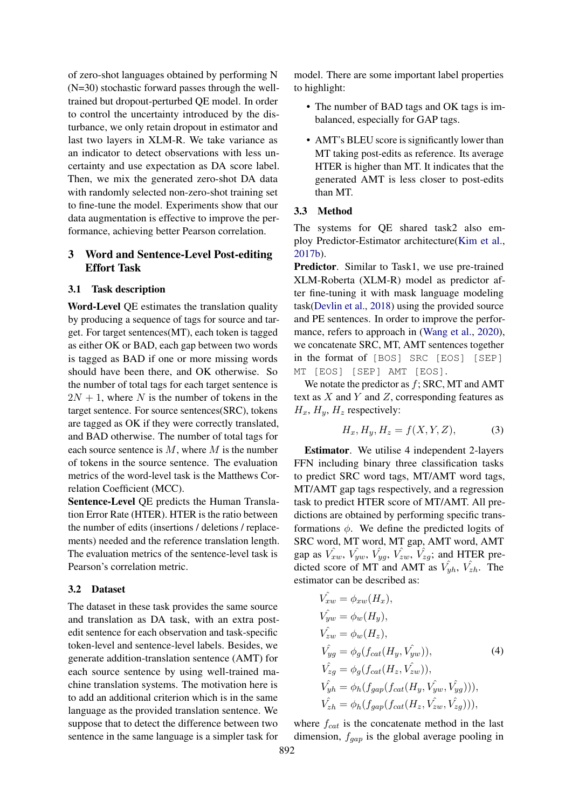of zero-shot languages obtained by performing N (N=30) stochastic forward passes through the welltrained but dropout-perturbed QE model. In order to control the uncertainty introduced by the disturbance, we only retain dropout in estimator and last two layers in XLM-R. We take variance as an indicator to detect observations with less uncertainty and use expectation as DA score label. Then, we mix the generated zero-shot DA data with randomly selected non-zero-shot training set to fine-tune the model. Experiments show that our data augmentation is effective to improve the performance, achieving better Pearson correlation.

# 3 Word and Sentence-Level Post-editing Effort Task

## 3.1 Task description

Word-Level QE estimates the translation quality by producing a sequence of tags for source and target. For target sentences(MT), each token is tagged as either OK or BAD, each gap between two words is tagged as BAD if one or more missing words should have been there, and OK otherwise. So the number of total tags for each target sentence is  $2N + 1$ , where N is the number of tokens in the target sentence. For source sentences(SRC), tokens are tagged as OK if they were correctly translated, and BAD otherwise. The number of total tags for each source sentence is  $M$ , where  $M$  is the number of tokens in the source sentence. The evaluation metrics of the word-level task is the Matthews Correlation Coefficient (MCC).

Sentence-Level QE predicts the Human Translation Error Rate (HTER). HTER is the ratio between the number of edits (insertions / deletions / replacements) needed and the reference translation length. The evaluation metrics of the sentence-level task is Pearson's correlation metric.

#### 3.2 Dataset

The dataset in these task provides the same source and translation as DA task, with an extra postedit sentence for each observation and task-specific token-level and sentence-level labels. Besides, we generate addition-translation sentence (AMT) for each source sentence by using well-trained machine translation systems. The motivation here is to add an additional criterion which is in the same language as the provided translation sentence. We suppose that to detect the difference between two sentence in the same language is a simpler task for

model. There are some important label properties to highlight:

- The number of BAD tags and OK tags is imbalanced, especially for GAP tags.
- AMT's BLEU score is significantly lower than MT taking post-edits as reference. Its average HTER is higher than MT. It indicates that the generated AMT is less closer to post-edits than MT.

#### 3.3 Method

The systems for QE shared task2 also employ Predictor-Estimator architecture[\(Kim et al.,](#page-6-1) [2017b\)](#page-6-1).

Predictor. Similar to Task1, we use pre-trained XLM-Roberta (XLM-R) model as predictor after fine-tuning it with mask language modeling task[\(Devlin et al.,](#page-6-10) [2018\)](#page-6-10) using the provided source and PE sentences. In order to improve the perfor-mance, refers to approach in [\(Wang et al.,](#page-6-5) [2020\)](#page-6-5), we concatenate SRC, MT, AMT sentences together in the format of [BOS] SRC [EOS] [SEP] MT [EOS] [SEP] AMT [EOS].

We notate the predictor as  $f$ ; SRC, MT and AMT text as  $X$  and  $Y$  and  $Z$ , corresponding features as  $H_x$ ,  $H_y$ ,  $H_z$  respectively:

$$
H_x, H_y, H_z = f(X, Y, Z),\tag{3}
$$

Estimator. We utilise 4 independent 2-layers FFN including binary three classification tasks to predict SRC word tags, MT/AMT word tags, MT/AMT gap tags respectively, and a regression task to predict HTER score of MT/AMT. All predictions are obtained by performing specific transformations  $\phi$ . We define the predicted logits of SRC word, MT word, MT gap, AMT word, AMT gap as  $\hat{V_{xw}}$ ,  $\hat{V_{yw}}$ ,  $\hat{V_{yy}}$ ,  $\hat{V_{zw}}$ ,  $\hat{V_{zy}}$ ; and HTER predicted score of MT and AMT as  $V_{yh}$ ,  $V_{zh}$ . The estimator can be described as:

$$
\begin{aligned}\n\hat{V_{xw}} &= \phi_{xw}(H_x), \\
\hat{V_{yw}} &= \phi_w(H_y), \\
\hat{V_{zw}} &= \phi_w(H_z), \\
\hat{V_{yy}} &= \phi_g(f_{cat}(H_y, \hat{V_{yw}})), \\
\hat{V_{zy}} &= \phi_g(f_{cat}(H_z, \hat{V_{zw}})), \\
\hat{V_{yh}} &= \phi_h(f_{gap}(f_{cat}(H_y, \hat{V_{yw}}, \hat{V_{yg}}))), \\
\hat{V_{zh}} &= \phi_h(f_{gap}(f_{cat}(H_z, \hat{V_{zw}}, \hat{V_{zy}}))),\n\end{aligned}
$$

where  $f_{cat}$  is the concatenate method in the last dimension,  $f_{gap}$  is the global average pooling in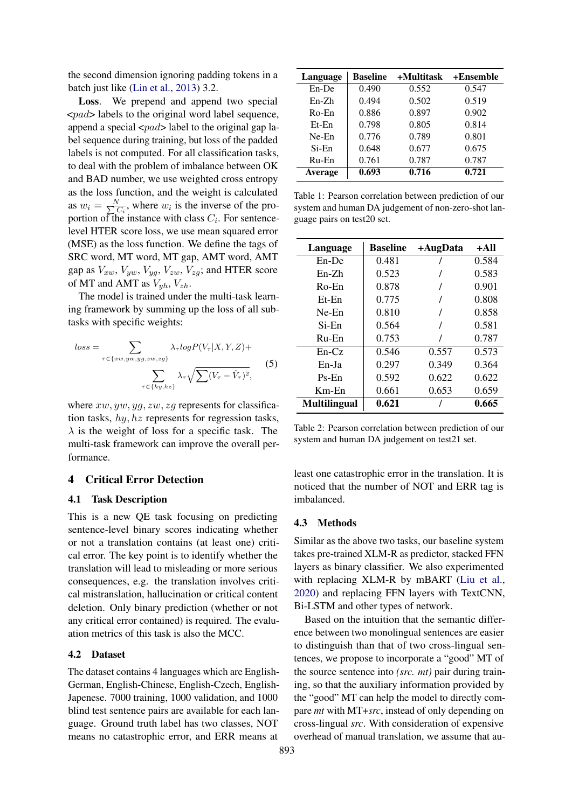the second dimension ignoring padding tokens in a batch just like [\(Lin et al.,](#page-6-11) [2013\)](#page-6-11) 3.2.

Loss. We prepend and append two special  $\langle$ *zpad* $>$  labels to the original word label sequence, append a special  $\langle pad \rangle$  label to the original gap label sequence during training, but loss of the padded labels is not computed. For all classification tasks, to deal with the problem of imbalance between OK and BAD number, we use weighted cross entropy as the loss function, and the weight is calculated as  $w_i = \frac{N}{\sum_{i=1}^{n} n_i}$  $\overline{C_i}$ , where  $w_i$  is the inverse of the proportion of the instance with class  $C_i$ . For sentencelevel HTER score loss, we use mean squared error (MSE) as the loss function. We define the tags of SRC word, MT word, MT gap, AMT word, AMT gap as  $V_{xw}$ ,  $V_{yw}$ ,  $V_{yg}$ ,  $V_{zw}$ ,  $V_{zg}$ ; and HTER score of MT and AMT as  $V_{uh}$ ,  $V_{zh}$ .

The model is trained under the multi-task learning framework by summing up the loss of all subtasks with specific weights:

$$
loss = \sum_{\tau \in \{xw, yw, yg, zw, zg\}} \lambda_{\tau} log P(V_{\tau} | X, Y, Z) + \sum_{\tau \in \{hy, hz\}} \lambda_{\tau} \sqrt{\sum (V_{\tau} - \hat{V}_{\tau})^2},
$$
(5)

where  $xw, yw, yg, zw, zg$  represents for classification tasks, hy, hz represents for regression tasks,  $\lambda$  is the weight of loss for a specific task. The multi-task framework can improve the overall performance.

# 4 Critical Error Detection

### 4.1 Task Description

This is a new QE task focusing on predicting sentence-level binary scores indicating whether or not a translation contains (at least one) critical error. The key point is to identify whether the translation will lead to misleading or more serious consequences, e.g. the translation involves critical mistranslation, hallucination or critical content deletion. Only binary prediction (whether or not any critical error contained) is required. The evaluation metrics of this task is also the MCC.

# 4.2 Dataset

The dataset contains 4 languages which are English-German, English-Chinese, English-Czech, English-Japenese. 7000 training, 1000 validation, and 1000 blind test sentence pairs are available for each language. Ground truth label has two classes, NOT means no catastrophic error, and ERR means at

<span id="page-3-0"></span>

| Language | <b>Baseline</b> | +Multitask | +Ensemble |
|----------|-----------------|------------|-----------|
| $En$ -De | 0.490           | 0.552      | 0.547     |
| $En-Zh$  | 0.494           | 0.502      | 0.519     |
| $Ro$ -En | 0.886           | 0.897      | 0.902     |
| $Et$ -En | 0.798           | 0.805      | 0.814     |
| $Ne$ -En | 0.776           | 0.789      | 0.801     |
| $Si$ -En | 0.648           | 0.677      | 0.675     |
| $Ru$ -En | 0.761           | 0.787      | 0.787     |
| Average  | 0.693           | 0.716      | 0.721     |

Table 1: Pearson correlation between prediction of our system and human DA judgement of non-zero-shot language pairs on test20 set.

<span id="page-3-1"></span>

| Language            | <b>Baseline</b> | +AugData | $+AII$ |
|---------------------|-----------------|----------|--------|
| $En$ -De            | 0.481           |          | 0.584  |
| $En-Zh$             | 0.523           |          | 0.583  |
| Ro-En               | 0.878           |          | 0.901  |
| $Et$ -En            | 0.775           |          | 0.808  |
| $Ne$ -En            | 0.810           |          | 0.858  |
| Si-En               | 0.564           |          | 0.581  |
| $Ru-En$             | 0.753           |          | 0.787  |
| $En-Cz$             | 0.546           | 0.557    | 0.573  |
| En-Ja               | 0.297           | 0.349    | 0.364  |
| $Ps$ -En            | 0.592           | 0.622    | 0.622  |
| $Km$ -En            | 0.661           | 0.653    | 0.659  |
| <b>Multilingual</b> | 0.621           |          | 0.665  |

Table 2: Pearson correlation between prediction of our system and human DA judgement on test21 set.

least one catastrophic error in the translation. It is noticed that the number of NOT and ERR tag is imbalanced.

### 4.3 Methods

Similar as the above two tasks, our baseline system takes pre-trained XLM-R as predictor, stacked FFN layers as binary classifier. We also experimented with replacing XLM-R by mBART [\(Liu et al.,](#page-6-12) [2020\)](#page-6-12) and replacing FFN layers with TextCNN, Bi-LSTM and other types of network.

Based on the intuition that the semantic difference between two monolingual sentences are easier to distinguish than that of two cross-lingual sentences, we propose to incorporate a "good" MT of the source sentence into *(src. mt)* pair during training, so that the auxiliary information provided by the "good" MT can help the model to directly compare *mt* with MT+*src*, instead of only depending on cross-lingual *src*. With consideration of expensive overhead of manual translation, we assume that au-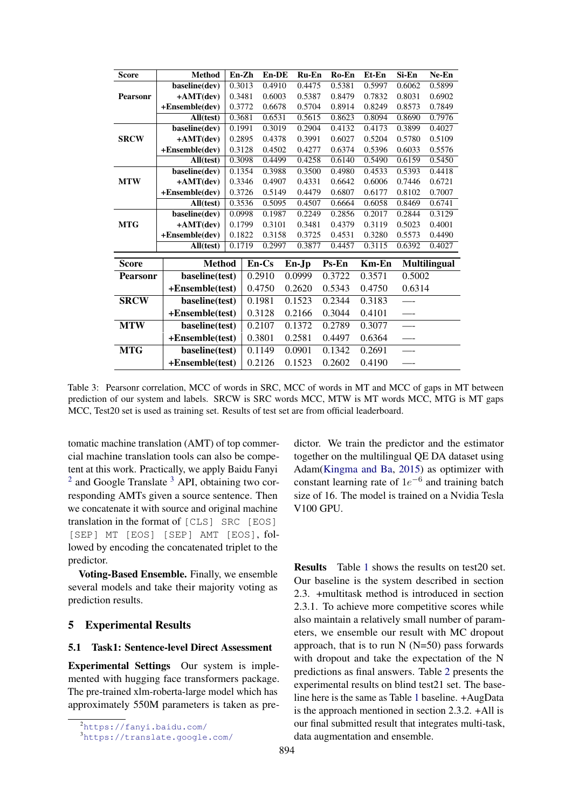<span id="page-4-2"></span>

| Score           | <b>Method</b>     | En-Zh  |                  | $En-DE$ |        | $Ru$ -En | Ro-En  | Et-En  | Si-En  | Ne-En               |
|-----------------|-------------------|--------|------------------|---------|--------|----------|--------|--------|--------|---------------------|
|                 | baseline(dev)     | 0.3013 |                  | 0.4910  | 0.4475 |          | 0.5381 | 0.5997 | 0.6062 | 0.5899              |
| Pearsonr        | $+AMT(dev)$       | 0.3481 |                  | 0.6003  |        | 0.5387   | 0.8479 | 0.7832 | 0.8031 | 0.6902              |
|                 | $+Ensemble(dev)$  | 0.3772 |                  | 0.6678  |        | 0.5704   | 0.8914 | 0.8249 | 0.8573 | 0.7849              |
|                 | All(test)         | 0.3681 |                  | 0.6531  | 0.5615 |          | 0.8623 | 0.8094 |        | 0.7976              |
|                 | baseline(dev)     | 0.1991 |                  | 0.3019  |        | 0.2904   | 0.4132 | 0.4173 | 0.3899 | 0.4027              |
| <b>SRCW</b>     | $+AMT(dev)$       |        | 0.2895           | 0.4378  |        | 0.3991   | 0.6027 | 0.5204 | 0.5780 | 0.5109              |
|                 | $+Ensemble(dev)$  | 0.3128 |                  | 0.4502  |        | 0.4277   | 0.6374 | 0.5396 | 0.6033 | 0.5576              |
|                 | All(test)         |        | 0.3098<br>0.4499 |         |        | 0.4258   | 0.6140 | 0.5490 | 0.6159 | 0.5450              |
|                 | baseline(dev)     | 0.1354 |                  | 0.3988  |        | 0.3500   | 0.4980 | 0.4533 | 0.5393 | 0.4418              |
| <b>MTW</b>      | $+AMT(dev)$       | 0.3346 |                  | 0.4907  |        | 0.4331   | 0.6642 | 0.6006 | 0.7446 | 0.6721              |
|                 | +Ensemble(dev)    | 0.3726 |                  | 0.5149  |        | 0.4479   | 0.6807 | 0.6177 | 0.8102 | 0.7007              |
|                 | All(test)         | 0.3536 |                  | 0.5095  |        | 0.4507   | 0.6664 | 0.6058 | 0.8469 | 0.6741              |
|                 | baseline(dev)     | 0.0998 |                  | 0.1987  |        | 0.2249   | 0.2856 | 0.2017 | 0.2844 | 0.3129              |
| <b>MTG</b>      | +AMT(dev)         | 0.1799 |                  | 0.3101  |        | 0.3481   | 0.4379 | 0.3119 | 0.5023 | 0.4001              |
|                 | $+E$ nsemble(dev) | 0.1822 |                  | 0.3158  |        | 0.3725   | 0.4531 | 0.3280 | 0.5573 | 0.4490              |
|                 | All(test)         | 0.1719 |                  | 0.2997  |        | 0.3877   | 0.4457 | 0.3115 | 0.6392 | 0.4027              |
|                 |                   |        |                  |         |        |          |        |        |        |                     |
| <b>Score</b>    | <b>Method</b>     |        |                  | En-Cs   | En-Jp  |          | Ps-En  | Km-En  |        | <b>Multilingual</b> |
| <b>Pearsonr</b> | baseline(test)    |        |                  | 0.2910  | 0.0999 |          | 0.3722 | 0.3571 | 0.5002 |                     |
|                 | +Ensemble(test)   |        | 0.4750           |         | 0.2620 |          | 0.5343 | 0.4750 | 0.6314 |                     |
| <b>SRCW</b>     | baseline(test)    |        |                  | 0.1981  | 0.1523 |          | 0.2344 | 0.3183 |        |                     |
|                 | +Ensemble(test)   |        |                  | 0.3128  | 0.2166 |          | 0.3044 | 0.4101 |        |                     |
| <b>MTW</b>      | baseline(test)    |        |                  | 0.2107  | 0.1372 |          | 0.2789 | 0.3077 |        |                     |
|                 | +Ensemble(test)   |        |                  | 0.3801  | 0.2581 |          | 0.4497 | 0.6364 |        |                     |
| <b>MTG</b>      | baseline(test)    |        |                  | 0.1149  | 0.0901 |          | 0.1342 | 0.2691 |        |                     |
|                 | +Ensemble(test)   |        |                  | 0.2126  | 0.1523 |          | 0.2602 | 0.4190 |        |                     |

Table 3: Pearsonr correlation, MCC of words in SRC, MCC of words in MT and MCC of gaps in MT between prediction of our system and labels. SRCW is SRC words MCC, MTW is MT words MCC, MTG is MT gaps MCC, Test20 set is used as training set. Results of test set are from official leaderboard.

tomatic machine translation (AMT) of top commercial machine translation tools can also be competent at this work. Practically, we apply Baidu Fanyi  $2$  and Google Translate  $3$  API, obtaining two corresponding AMTs given a source sentence. Then we concatenate it with source and original machine translation in the format of [CLS] SRC [EOS] [SEP] MT [EOS] [SEP] AMT [EOS], followed by encoding the concatenated triplet to the predictor.

Voting-Based Ensemble. Finally, we ensemble several models and take their majority voting as prediction results.

# 5 Experimental Results

### 5.1 Task1: Sentence-level Direct Assessment

Experimental Settings Our system is implemented with hugging face transformers package. The pre-trained xlm-roberta-large model which has approximately 550M parameters is taken as predictor. We train the predictor and the estimator together on the multilingual QE DA dataset using Adam[\(Kingma and Ba,](#page-6-13) [2015\)](#page-6-13) as optimizer with constant learning rate of  $1e^{-6}$  and training batch size of 16. The model is trained on a Nvidia Tesla V100 GPU.

Results Table [1](#page-3-0) shows the results on test20 set. Our baseline is the system described in section 2.3. +multitask method is introduced in section 2.3.1. To achieve more competitive scores while also maintain a relatively small number of parameters, we ensemble our result with MC dropout approach, that is to run  $N(N=50)$  pass forwards with dropout and take the expectation of the N predictions as final answers. Table [2](#page-3-1) presents the experimental results on blind test21 set. The baseline here is the same as Table [1](#page-3-0) baseline. +AugData is the approach mentioned in section 2.3.2. +All is our final submitted result that integrates multi-task, data augmentation and ensemble.

<span id="page-4-0"></span><sup>2</sup><https://fanyi.baidu.com/>

<span id="page-4-1"></span><sup>3</sup><https://translate.google.com/>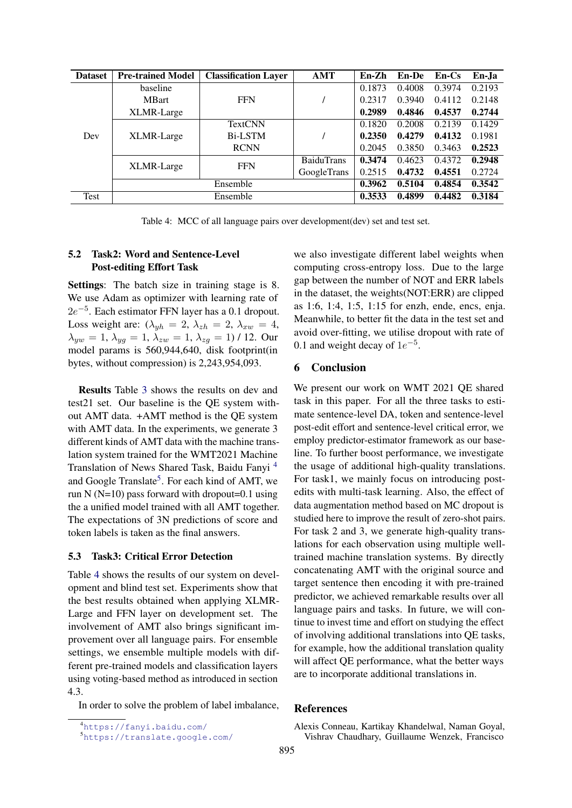<span id="page-5-3"></span>

| <b>Dataset</b> | <b>Pre-trained Model</b> | <b>Classification Layer</b> | AMT               | $En-Zh$ | <b>En-De</b> | $En-Cs$ | En-Ja  |
|----------------|--------------------------|-----------------------------|-------------------|---------|--------------|---------|--------|
| Dev            | baseline                 |                             |                   | 0.1873  | 0.4008       | 0.3974  | 0.2193 |
|                | <b>MBart</b>             | <b>FFN</b>                  |                   | 0.2317  | 0.3940       | 0.4112  | 0.2148 |
|                | XLMR-Large               |                             |                   | 0.2989  | 0.4846       | 0.4537  | 0.2744 |
|                |                          | <b>TextCNN</b>              |                   | 0.1820  | 0.2008       | 0.2139  | 0.1429 |
|                | XLMR-Large               | Bi-LSTM                     |                   | 0.2350  | 0.4279       | 0.4132  | 0.1981 |
|                |                          | <b>RCNN</b>                 |                   | 0.2045  | 0.3850       | 0.3463  | 0.2523 |
|                | XLMR-Large               | <b>FFN</b>                  | <b>BaiduTrans</b> | 0.3474  | 0.4623       | 0.4372  | 0.2948 |
|                |                          |                             | GoogleTrans       | 0.2515  | 0.4732       | 0.4551  | 0.2724 |
|                |                          | 0.3962                      | 0.5104            | 0.4854  | 0.3542       |         |        |
| Test           | Ensemble                 |                             |                   |         | 0.4899       | 0.4482  | 0.3184 |

Table 4: MCC of all language pairs over development(dev) set and test set.

# 5.2 Task2: Word and Sentence-Level Post-editing Effort Task

Settings: The batch size in training stage is 8. We use Adam as optimizer with learning rate of  $2e^{-5}$ . Each estimator FFN layer has a 0.1 dropout. Loss weight are:  $(\lambda_{wh} = 2, \lambda_{zh} = 2, \lambda_{xw} = 4,$  $\lambda_{yw} = 1, \lambda_{yg} = 1, \lambda_{zw} = 1, \lambda_{zq} = 1$  / 12. Our model params is 560,944,640, disk footprint(in bytes, without compression) is 2,243,954,093.

Results Table [3](#page-4-2) shows the results on dev and test21 set. Our baseline is the QE system without AMT data. +AMT method is the QE system with AMT data. In the experiments, we generate 3 different kinds of AMT data with the machine translation system trained for the WMT2021 Machine Translation of News Shared Task, Baidu Fanyi [4](#page-5-1) and Google Translate<sup>[5](#page-5-2)</sup>. For each kind of AMT, we run N ( $N=10$ ) pass forward with dropout=0.1 using the a unified model trained with all AMT together. The expectations of 3N predictions of score and token labels is taken as the final answers.

### 5.3 Task3: Critical Error Detection

Table [4](#page-5-3) shows the results of our system on development and blind test set. Experiments show that the best results obtained when applying XLMR-Large and FFN layer on development set. The involvement of AMT also brings significant improvement over all language pairs. For ensemble settings, we ensemble multiple models with different pre-trained models and classification layers using voting-based method as introduced in section 4.3.

In order to solve the problem of label imbalance,

we also investigate different label weights when computing cross-entropy loss. Due to the large gap between the number of NOT and ERR labels in the dataset, the weights(NOT:ERR) are clipped as 1:6, 1:4, 1:5, 1:15 for enzh, ende, encs, enja. Meanwhile, to better fit the data in the test set and avoid over-fitting, we utilise dropout with rate of 0.1 and weight decay of  $1e^{-5}$ .

## 6 Conclusion

We present our work on WMT 2021 QE shared task in this paper. For all the three tasks to estimate sentence-level DA, token and sentence-level post-edit effort and sentence-level critical error, we employ predictor-estimator framework as our baseline. To further boost performance, we investigate the usage of additional high-quality translations. For task1, we mainly focus on introducing postedits with multi-task learning. Also, the effect of data augmentation method based on MC dropout is studied here to improve the result of zero-shot pairs. For task 2 and 3, we generate high-quality translations for each observation using multiple welltrained machine translation systems. By directly concatenating AMT with the original source and target sentence then encoding it with pre-trained predictor, we achieved remarkable results over all language pairs and tasks. In future, we will continue to invest time and effort on studying the effect of involving additional translations into QE tasks, for example, how the additional translation quality will affect QE performance, what the better ways are to incorporate additional translations in.

### References

<span id="page-5-1"></span><sup>4</sup><https://fanyi.baidu.com/>

<span id="page-5-2"></span><sup>5</sup><https://translate.google.com/>

<span id="page-5-0"></span>Alexis Conneau, Kartikay Khandelwal, Naman Goyal, Vishrav Chaudhary, Guillaume Wenzek, Francisco